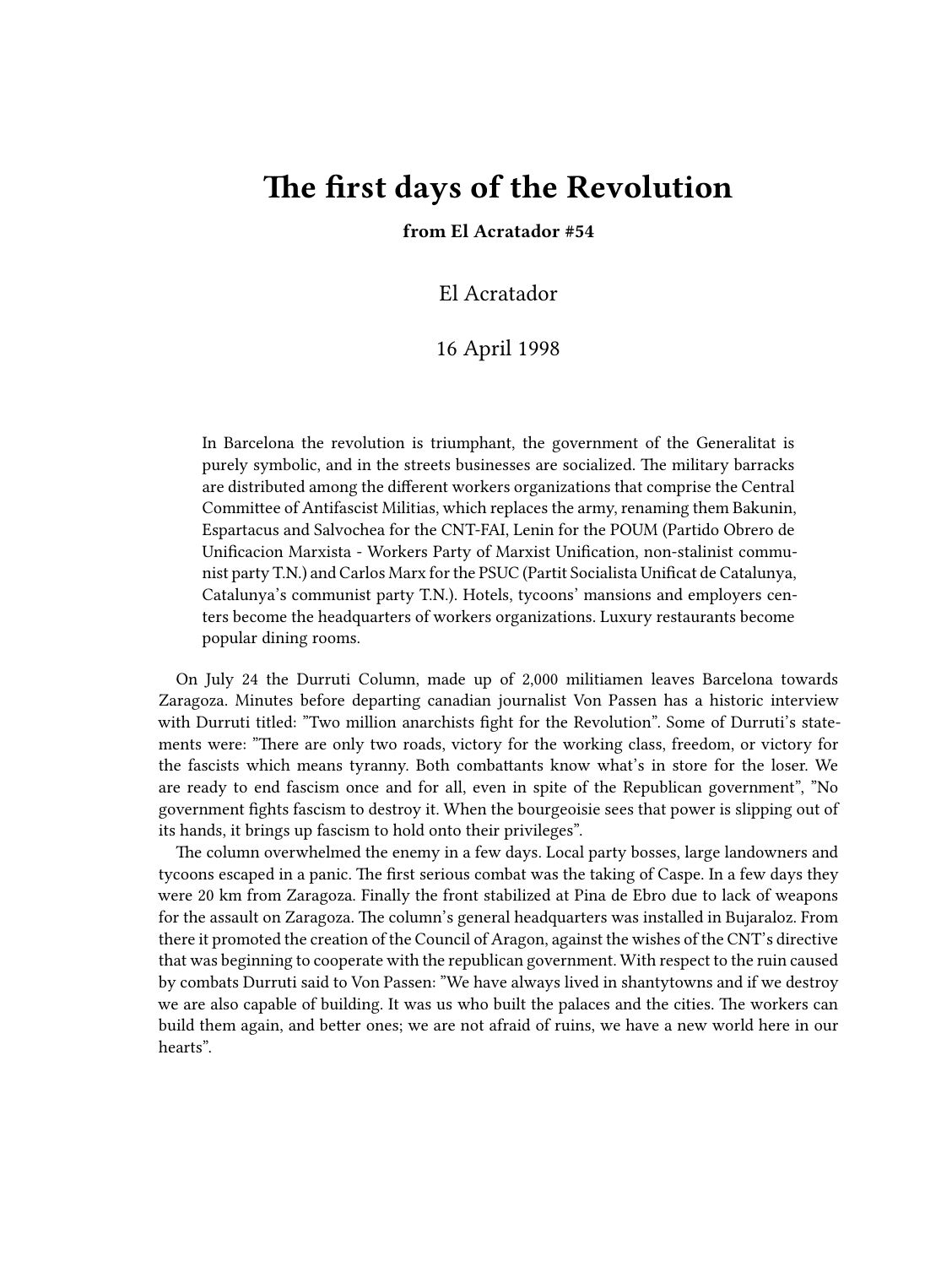# **The first days of the Revolution**

### **from El Acratador #54**

El Acratador

## 16 April 1998

In Barcelona the revolution is triumphant, the government of the Generalitat is purely symbolic, and in the streets businesses are socialized. The military barracks are distributed among the different workers organizations that comprise the Central Committee of Antifascist Militias, which replaces the army, renaming them Bakunin, Espartacus and Salvochea for the CNT-FAI, Lenin for the POUM (Partido Obrero de Unificacion Marxista - Workers Party of Marxist Unification, non-stalinist communist party T.N.) and Carlos Marx for the PSUC (Partit Socialista Unificat de Catalunya, Catalunya's communist party T.N.). Hotels, tycoons' mansions and employers centers become the headquarters of workers organizations. Luxury restaurants become popular dining rooms.

On July 24 the Durruti Column, made up of 2,000 militiamen leaves Barcelona towards Zaragoza. Minutes before departing canadian journalist Von Passen has a historic interview with Durruti titled: "Two million anarchists fight for the Revolution". Some of Durruti's statements were: "There are only two roads, victory for the working class, freedom, or victory for the fascists which means tyranny. Both combattants know what's in store for the loser. We are ready to end fascism once and for all, even in spite of the Republican government", "No government fights fascism to destroy it. When the bourgeoisie sees that power is slipping out of its hands, it brings up fascism to hold onto their privileges".

The column overwhelmed the enemy in a few days. Local party bosses, large landowners and tycoons escaped in a panic. The first serious combat was the taking of Caspe. In a few days they were 20 km from Zaragoza. Finally the front stabilized at Pina de Ebro due to lack of weapons for the assault on Zaragoza. The column's general headquarters was installed in Bujaraloz. From there it promoted the creation of the Council of Aragon, against the wishes of the CNT's directive that was beginning to cooperate with the republican government. With respect to the ruin caused by combats Durruti said to Von Passen: "We have always lived in shantytowns and if we destroy we are also capable of building. It was us who built the palaces and the cities. The workers can build them again, and better ones; we are not afraid of ruins, we have a new world here in our hearts".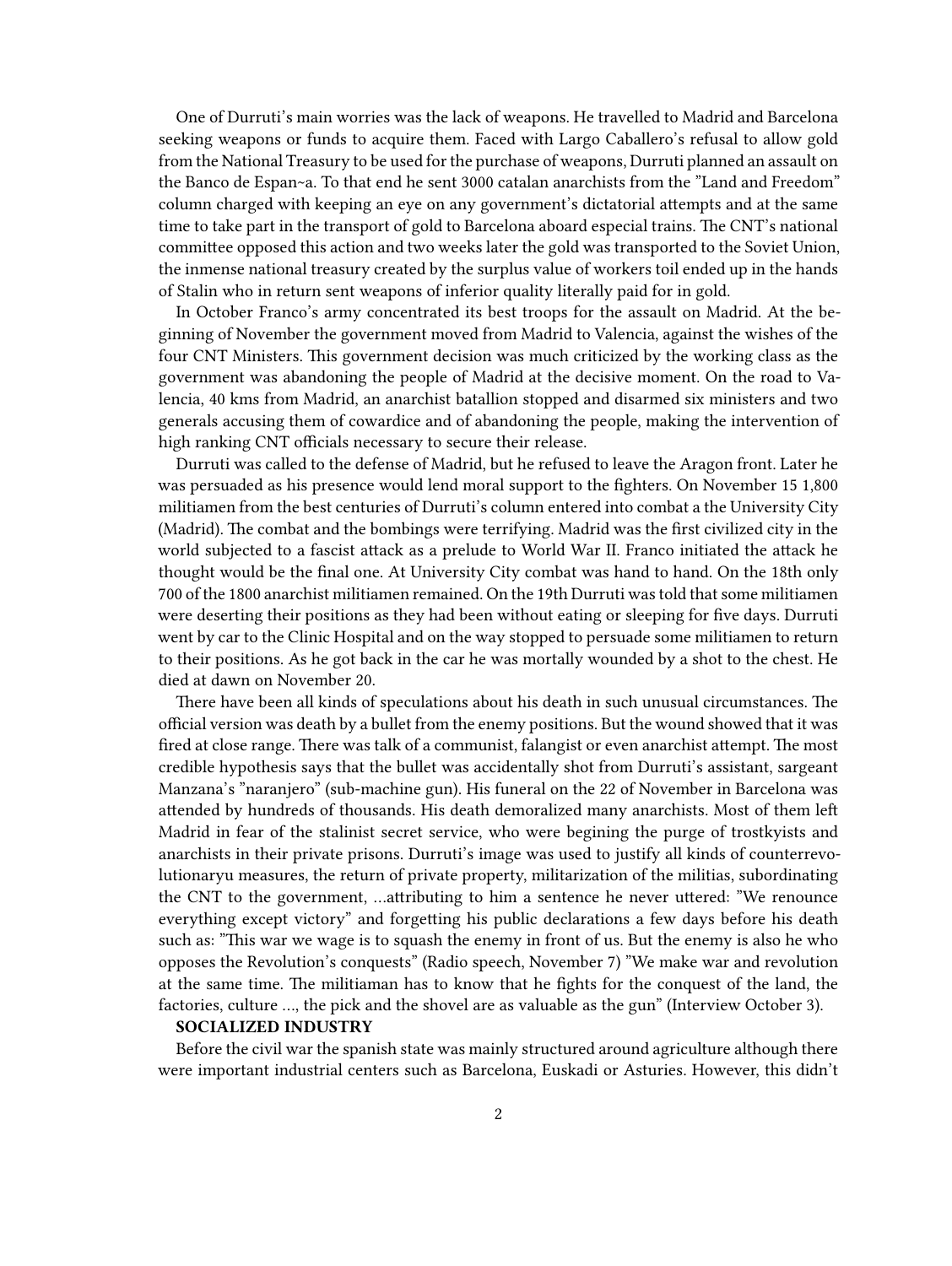One of Durruti's main worries was the lack of weapons. He travelled to Madrid and Barcelona seeking weapons or funds to acquire them. Faced with Largo Caballero's refusal to allow gold from the National Treasury to be used for the purchase of weapons, Durruti planned an assault on the Banco de Espan~a. To that end he sent 3000 catalan anarchists from the "Land and Freedom" column charged with keeping an eye on any government's dictatorial attempts and at the same time to take part in the transport of gold to Barcelona aboard especial trains. The CNT's national committee opposed this action and two weeks later the gold was transported to the Soviet Union, the inmense national treasury created by the surplus value of workers toil ended up in the hands of Stalin who in return sent weapons of inferior quality literally paid for in gold.

In October Franco's army concentrated its best troops for the assault on Madrid. At the beginning of November the government moved from Madrid to Valencia, against the wishes of the four CNT Ministers. This government decision was much criticized by the working class as the government was abandoning the people of Madrid at the decisive moment. On the road to Valencia, 40 kms from Madrid, an anarchist batallion stopped and disarmed six ministers and two generals accusing them of cowardice and of abandoning the people, making the intervention of high ranking CNT officials necessary to secure their release.

Durruti was called to the defense of Madrid, but he refused to leave the Aragon front. Later he was persuaded as his presence would lend moral support to the fighters. On November 15 1,800 militiamen from the best centuries of Durruti's column entered into combat a the University City (Madrid). The combat and the bombings were terrifying. Madrid was the first civilized city in the world subjected to a fascist attack as a prelude to World War II. Franco initiated the attack he thought would be the final one. At University City combat was hand to hand. On the 18th only 700 of the 1800 anarchist militiamen remained. On the 19th Durruti was told that some militiamen were deserting their positions as they had been without eating or sleeping for five days. Durruti went by car to the Clinic Hospital and on the way stopped to persuade some militiamen to return to their positions. As he got back in the car he was mortally wounded by a shot to the chest. He died at dawn on November 20.

There have been all kinds of speculations about his death in such unusual circumstances. The official version was death by a bullet from the enemy positions. But the wound showed that it was fired at close range. There was talk of a communist, falangist or even anarchist attempt. The most credible hypothesis says that the bullet was accidentally shot from Durruti's assistant, sargeant Manzana's "naranjero" (sub-machine gun). His funeral on the 22 of November in Barcelona was attended by hundreds of thousands. His death demoralized many anarchists. Most of them left Madrid in fear of the stalinist secret service, who were begining the purge of trostkyists and anarchists in their private prisons. Durruti's image was used to justify all kinds of counterrevolutionaryu measures, the return of private property, militarization of the militias, subordinating the CNT to the government, …attributing to him a sentence he never uttered: "We renounce everything except victory" and forgetting his public declarations a few days before his death such as: "This war we wage is to squash the enemy in front of us. But the enemy is also he who opposes the Revolution's conquests" (Radio speech, November 7) "We make war and revolution at the same time. The militiaman has to know that he fights for the conquest of the land, the factories, culture …, the pick and the shovel are as valuable as the gun" (Interview October 3).

#### **SOCIALIZED INDUSTRY**

Before the civil war the spanish state was mainly structured around agriculture although there were important industrial centers such as Barcelona, Euskadi or Asturies. However, this didn't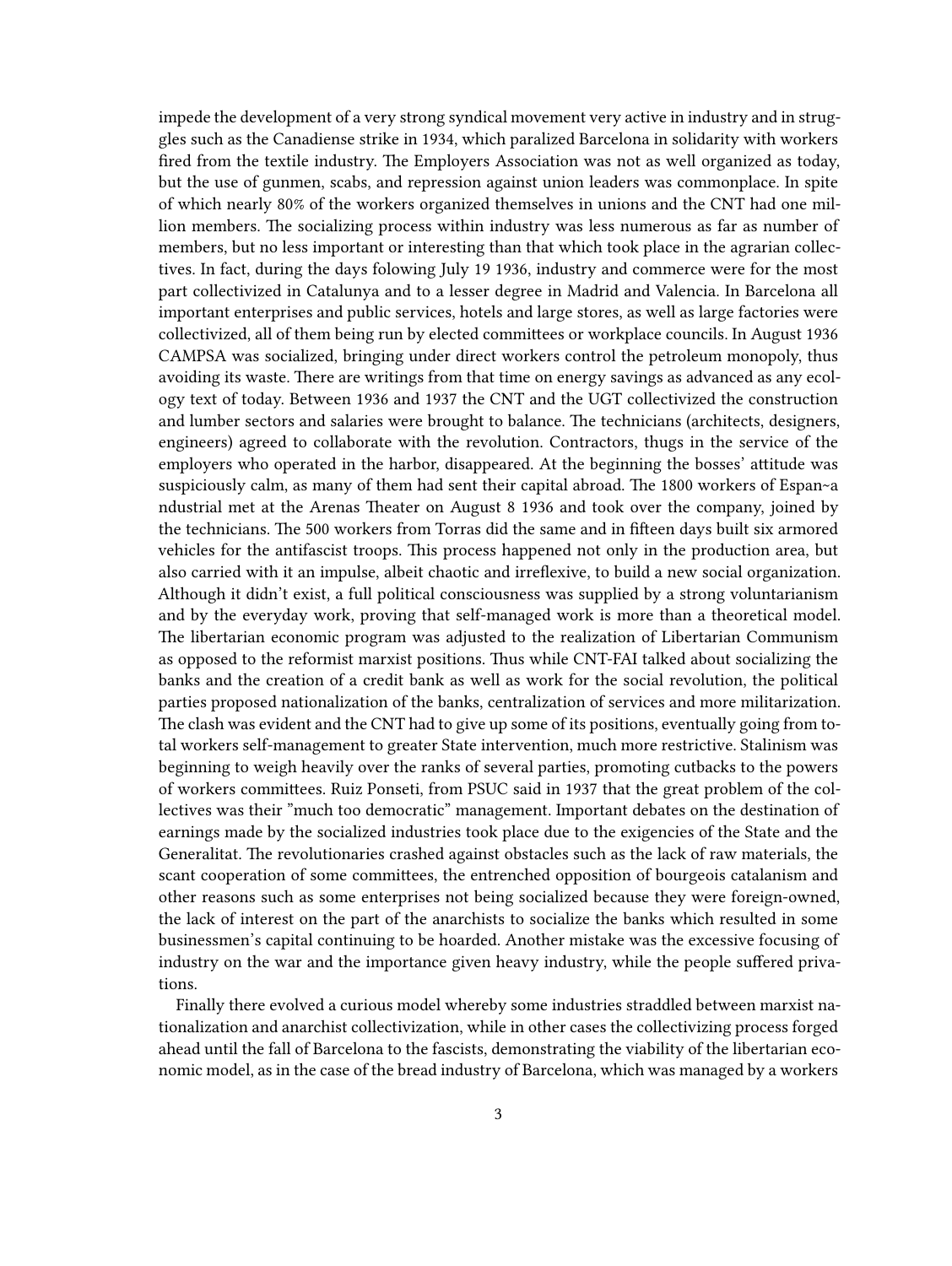impede the development of a very strong syndical movement very active in industry and in struggles such as the Canadiense strike in 1934, which paralized Barcelona in solidarity with workers fired from the textile industry. The Employers Association was not as well organized as today, but the use of gunmen, scabs, and repression against union leaders was commonplace. In spite of which nearly 80% of the workers organized themselves in unions and the CNT had one million members. The socializing process within industry was less numerous as far as number of members, but no less important or interesting than that which took place in the agrarian collectives. In fact, during the days folowing July 19 1936, industry and commerce were for the most part collectivized in Catalunya and to a lesser degree in Madrid and Valencia. In Barcelona all important enterprises and public services, hotels and large stores, as well as large factories were collectivized, all of them being run by elected committees or workplace councils. In August 1936 CAMPSA was socialized, bringing under direct workers control the petroleum monopoly, thus avoiding its waste. There are writings from that time on energy savings as advanced as any ecology text of today. Between 1936 and 1937 the CNT and the UGT collectivized the construction and lumber sectors and salaries were brought to balance. The technicians (architects, designers, engineers) agreed to collaborate with the revolution. Contractors, thugs in the service of the employers who operated in the harbor, disappeared. At the beginning the bosses' attitude was suspiciously calm, as many of them had sent their capital abroad. The 1800 workers of Espan~a ndustrial met at the Arenas Theater on August 8 1936 and took over the company, joined by the technicians. The 500 workers from Torras did the same and in fifteen days built six armored vehicles for the antifascist troops. This process happened not only in the production area, but also carried with it an impulse, albeit chaotic and irreflexive, to build a new social organization. Although it didn't exist, a full political consciousness was supplied by a strong voluntarianism and by the everyday work, proving that self-managed work is more than a theoretical model. The libertarian economic program was adjusted to the realization of Libertarian Communism as opposed to the reformist marxist positions. Thus while CNT-FAI talked about socializing the banks and the creation of a credit bank as well as work for the social revolution, the political parties proposed nationalization of the banks, centralization of services and more militarization. The clash was evident and the CNT had to give up some of its positions, eventually going from total workers self-management to greater State intervention, much more restrictive. Stalinism was beginning to weigh heavily over the ranks of several parties, promoting cutbacks to the powers of workers committees. Ruiz Ponseti, from PSUC said in 1937 that the great problem of the collectives was their "much too democratic" management. Important debates on the destination of earnings made by the socialized industries took place due to the exigencies of the State and the Generalitat. The revolutionaries crashed against obstacles such as the lack of raw materials, the scant cooperation of some committees, the entrenched opposition of bourgeois catalanism and other reasons such as some enterprises not being socialized because they were foreign-owned, the lack of interest on the part of the anarchists to socialize the banks which resulted in some businessmen's capital continuing to be hoarded. Another mistake was the excessive focusing of industry on the war and the importance given heavy industry, while the people suffered privations.

Finally there evolved a curious model whereby some industries straddled between marxist nationalization and anarchist collectivization, while in other cases the collectivizing process forged ahead until the fall of Barcelona to the fascists, demonstrating the viability of the libertarian economic model, as in the case of the bread industry of Barcelona, which was managed by a workers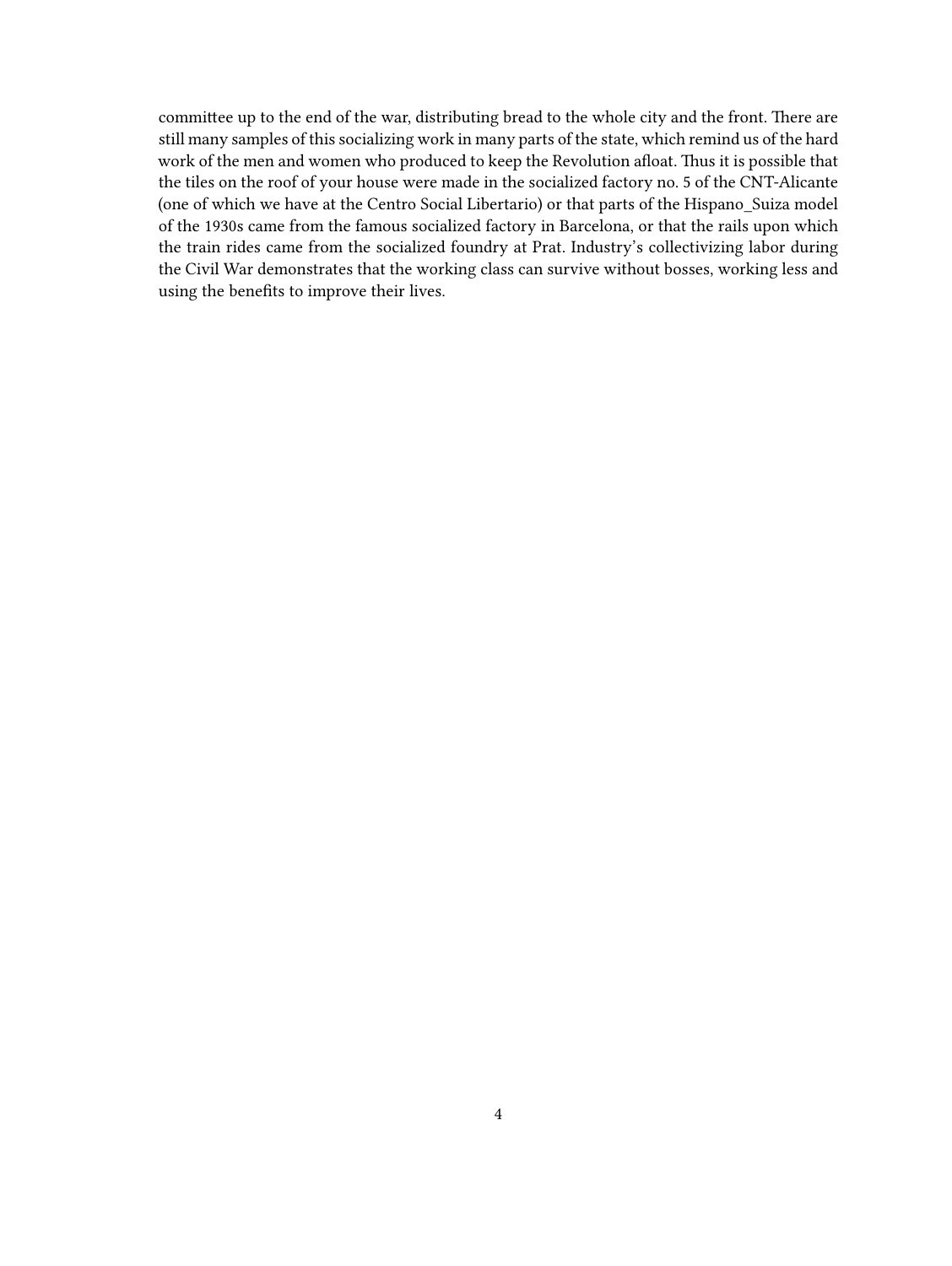committee up to the end of the war, distributing bread to the whole city and the front. There are still many samples of this socializing work in many parts of the state, which remind us of the hard work of the men and women who produced to keep the Revolution afloat. Thus it is possible that the tiles on the roof of your house were made in the socialized factory no. 5 of the CNT-Alicante (one of which we have at the Centro Social Libertario) or that parts of the Hispano\_Suiza model of the 1930s came from the famous socialized factory in Barcelona, or that the rails upon which the train rides came from the socialized foundry at Prat. Industry's collectivizing labor during the Civil War demonstrates that the working class can survive without bosses, working less and using the benefits to improve their lives.